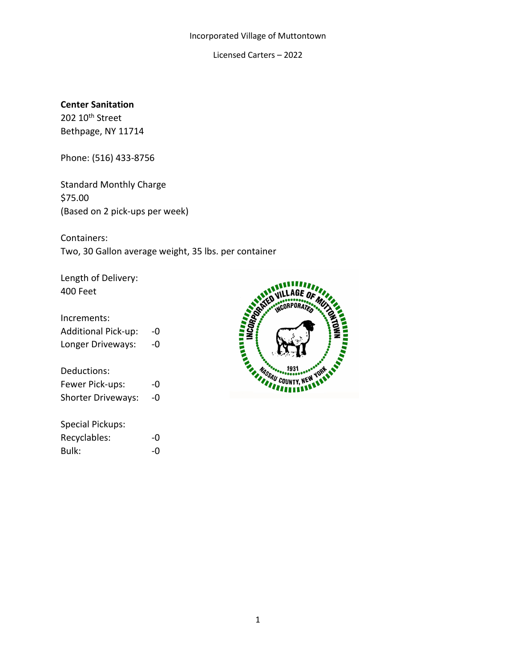Licensed Carters – 2022

### **Center Sanitation**

202 10<sup>th</sup> Street Bethpage, NY 11714

Phone: (516) 433-8756

Standard Monthly Charge \$75.00 (Based on 2 pick-ups per week)

Containers: Two, 30 Gallon average weight, 35 lbs. per container

Length of Delivery: 400 Feet

### Increments:

| <b>Additional Pick-up:</b> | -0 |
|----------------------------|----|
| Longer Driveways:          | -0 |

Deductions:

| Fewer Pick-ups:           | -0 |
|---------------------------|----|
| <b>Shorter Driveways:</b> | -0 |

| <b>Special Pickups:</b> |    |
|-------------------------|----|
| Recyclables:            | -0 |
| Bulk:                   | -0 |

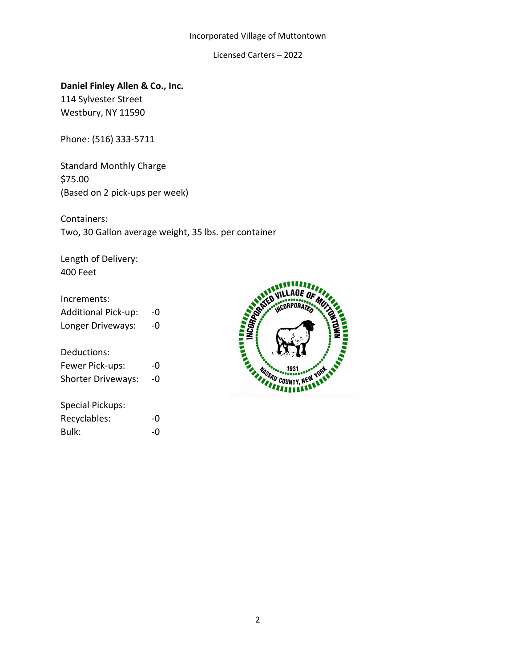Licensed Carters – 2022

**Daniel Finley Allen & Co., Inc.** 114 Sylvester Street Westbury, NY 11590

Phone: (516) 333-5711

Standard Monthly Charge \$75.00 (Based on 2 pick-ups per week)

Containers: Two, 30 Gallon average weight, 35 lbs. per container

Length of Delivery: 400 Feet

| Increments:                |    |
|----------------------------|----|
| <b>Additional Pick-up:</b> | -0 |
| Longer Driveways:          | -0 |
|                            |    |
| Deductions:                |    |
| Fewer Pick-ups:            | -0 |
| <b>Shorter Driveways:</b>  | -0 |
|                            |    |
| Special Pickups:           |    |
| Recyclables:               | -0 |
| Bulk:                      |    |

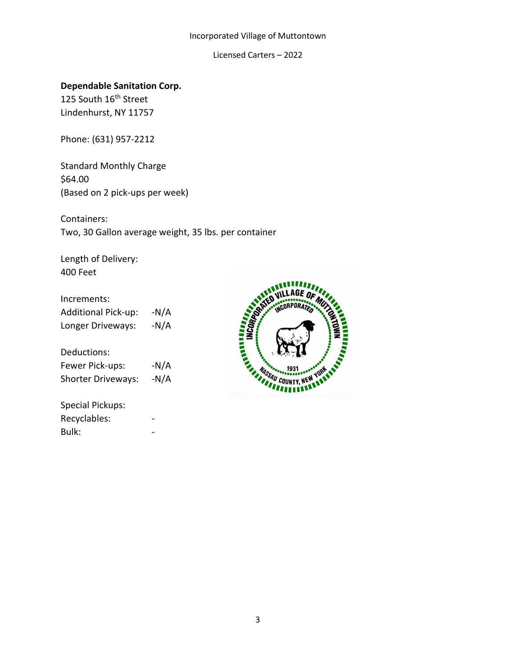Licensed Carters – 2022

# **Dependable Sanitation Corp.**

125 South 16<sup>th</sup> Street Lindenhurst, NY 11757

Phone: (631) 957-2212

Standard Monthly Charge \$64.00 (Based on 2 pick-ups per week)

Containers: Two, 30 Gallon average weight, 35 lbs. per container

Length of Delivery: 400 Feet

### Increments:

Additional Pick-up: -N/A Longer Driveways: - N/A

Deductions:

| Fewer Pick-ups:           | $-N/A$ |
|---------------------------|--------|
| <b>Shorter Driveways:</b> | $-N/A$ |

Special Pickups: Recyclables: Bulk:

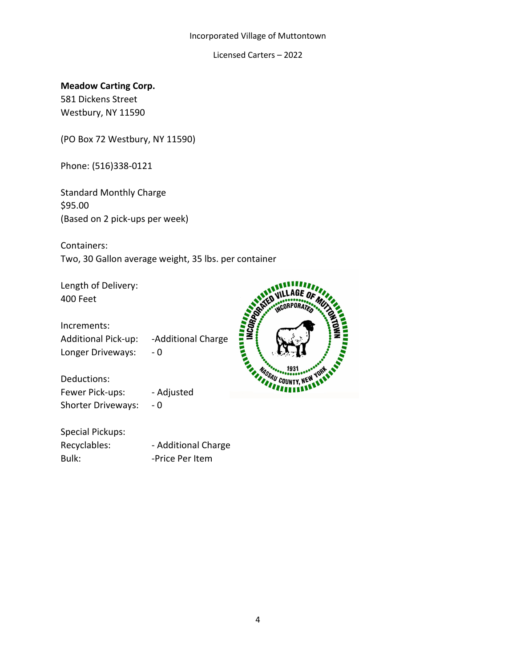Licensed Carters – 2022

**Meadow Carting Corp.**

581 Dickens Street Westbury, NY 11590

(PO Box 72 Westbury, NY 11590)

Phone: (516)338-0121

Standard Monthly Charge \$95.00 (Based on 2 pick-ups per week)

Containers: Two, 30 Gallon average weight, 35 lbs. per container

Length of Delivery: 400 Feet

Increments: Increments:<br>
Additional Pick-up: -Additional Charge<br>
Longer Driveways: -0<br>
Deductions: -Adjusted<br>
Shorter Driveway: -Adjusted<br>
Shorter Driveway: -Adjusted Longer Driveways: - 0

**HEIRPARTS** AGE OF **ACORPORATE** MASSAU COUNTY, NEW YORK

Deductions: Fewer Pick-ups: - Adjusted Shorter Driveways: - 0

Special Pickups: Recyclables: - Additional Charge Bulk: Fig. 2013 - Price Per Item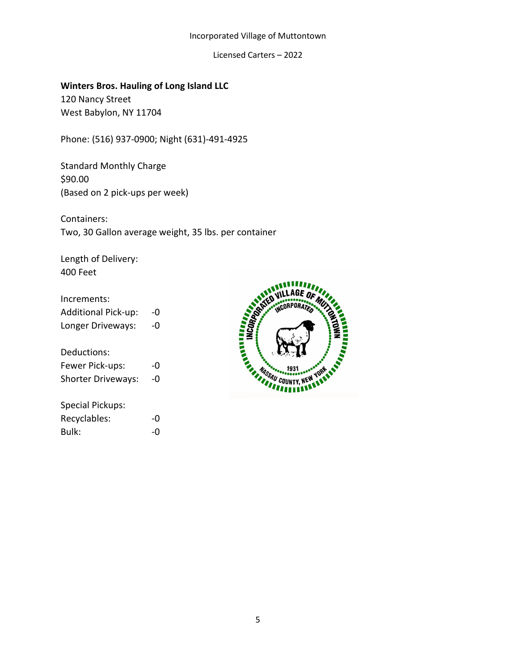Licensed Carters – 2022

**Winters Bros. Hauling of Long Island LLC** 120 Nancy Street West Babylon, NY 11704

Phone: (516) 937-0900; Night (631)-491-4925

Standard Monthly Charge \$90.00 (Based on 2 pick-ups per week)

Containers: Two, 30 Gallon average weight, 35 lbs. per container

Length of Delivery: 400 Feet

| Increments:<br><b>Additional Pick-up:</b><br>Longer Driveways: | -0<br>-0 |
|----------------------------------------------------------------|----------|
| Deductions:<br>Fewer Pick-ups:<br><b>Shorter Driveways:</b>    | -0<br>-0 |
| Special Pickups:<br>Recyclables:<br>Bulk:                      | -0       |